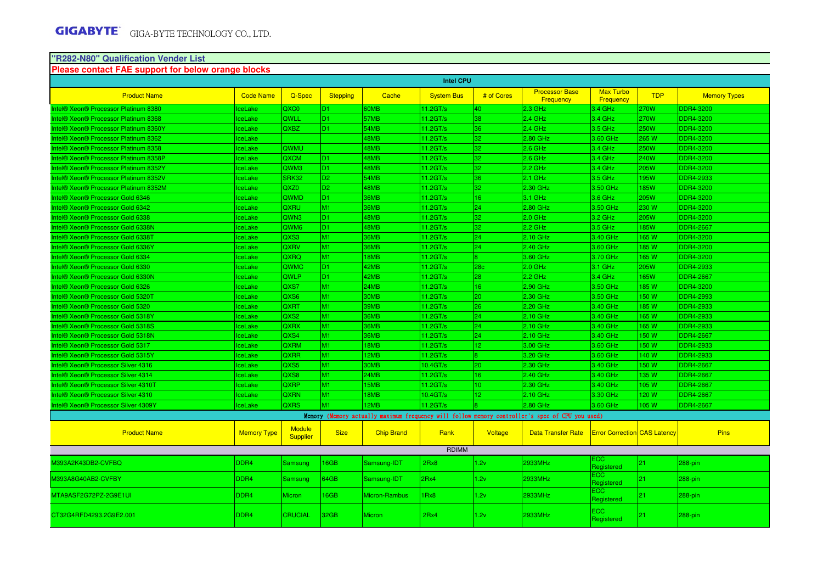#### **"R282-N80" Qualification Vender List**

| Please contact FAE support for below orange blocks |                    |                                  |                 |                   |                    |                 |                                                                                                 |                                     |             |                     |
|----------------------------------------------------|--------------------|----------------------------------|-----------------|-------------------|--------------------|-----------------|-------------------------------------------------------------------------------------------------|-------------------------------------|-------------|---------------------|
|                                                    |                    |                                  |                 |                   | <b>Intel CPU</b>   |                 |                                                                                                 |                                     |             |                     |
| <b>Product Name</b>                                | <b>Code Name</b>   | Q-Spec                           | <b>Stepping</b> | Cache             | <b>System Bus</b>  | # of Cores      | <b>Processor Base</b><br><b>Frequency</b>                                                       | <b>Max Turbo</b><br>Frequency       | <b>TDP</b>  | <b>Memory Types</b> |
| Intel® Xeon® Processor Platinum 8380               | <b>IceLake</b>     | QXC0                             | D <sub>1</sub>  | 60MB              | 11.2GT/s           | 40              | 2.3 GHz                                                                                         | 3.4 GHz                             | 270W        | <b>DDR4-3200</b>    |
| Intel® Xeon® Processor Platinum 8368               | <b>IceLake</b>     | QWLL                             | D <sub>1</sub>  | 57MB              | $11.2$ GT/s        | 38              | $2.4$ GHz                                                                                       | 3.4 GHz                             | <b>270W</b> | <b>DDR4-3200</b>    |
| Intel® Xeon® Processor Platinum 8360Y              | ceLake             | QXBZ                             | D <sub>1</sub>  | 54MB              | $11.2 \text{GT/s}$ | 36              | 2.4 GHz                                                                                         | 3.5 GHz                             | 250W        | <b>DDR4-3200</b>    |
| Intel® Xeon® Processor Platinum 8362               | ceLake             |                                  |                 | 48MB              | 11.2GT/s           | 32              | 2.80 GHz                                                                                        | 3.60 GHz                            | 265 W       | <b>DDR4-3200</b>    |
| Intel® Xeon® Processor Platinum 8358               | <b>IceLake</b>     | QWMU                             |                 | 48MB              | 11.2GT/s           | 32              | $2.6$ GHz                                                                                       | 3.4 GHz                             | <b>250W</b> | <b>DDR4-3200</b>    |
| Intel® Xeon® Processor Platinum 8358P              | lceLake            | QXCM                             | D <sub>1</sub>  | 48MB              | 11.2GT/s           | 32              | $2.6$ GHz                                                                                       | 3.4 GHz                             | 240W        | <b>DDR4-3200</b>    |
| Intel® Xeon® Processor Platinum 8352Y              | <b>IceLake</b>     | QWM3                             | D <sub>1</sub>  | 48MB              | $11.2$ GT/s        | 32              | 2.2 GHz                                                                                         | 3.4 GHz                             | 205W        | <b>DDR4-3200</b>    |
| Intel® Xeon® Processor Platinum 8352V              | ceLake             | SRK32                            | D <sub>2</sub>  | 54MB              | 11.2GT/s           | 36              | $2.1$ GHz                                                                                       | 3.5 GHz                             | 195W        | <b>DDR4-2933</b>    |
| Intel® Xeon® Processor Platinum 8352M              | ceLake             | QXZ0                             | D <sub>2</sub>  | 48MB              | 11.2GT/s           | 32              | 2.30 GHz                                                                                        | 3.50 GHz                            | 185W        | <b>DDR4-3200</b>    |
| Intel® Xeon® Processor Gold 6346                   | <b>IceLake</b>     | QWMD                             | D <sub>1</sub>  | <b>36MB</b>       | $11.2$ GT/s        | 16              | 3.1 GHz                                                                                         | 3.6 GHz                             | 205W        | <b>DDR4-3200</b>    |
| Intel® Xeon® Processor Gold 6342                   | lceLake            | QXRU                             | M1              | 36MB              | 11.2GT/s           | 24              | 2.80 GHz                                                                                        | 3.50 GHz                            | 230 W       | <b>DDR4-3200</b>    |
| Intel® Xeon® Processor Gold 6338                   | <b>IceLake</b>     | QWN3                             | D <sub>1</sub>  | 48MB              | $11.2$ GT/s        | 32              | $2.0$ GHz                                                                                       | 3.2 GHz                             | 205W        | <b>DDR4-3200</b>    |
| Intel® Xeon® Processor Gold 6338N                  | ceLake             | QWM6                             | D <sub>1</sub>  | 48MB              | 11.2GT/s           | 32              | 2.2 GHz                                                                                         | 3.5 GHz                             | 185W        | <b>DDR4-2667</b>    |
| Intel® Xeon® Processor Gold 6338T                  | ceLake             | QXS3                             | M1              | 36MB              | 11.2GT/s           | 24              | 2.10 GHz                                                                                        | 3.40 GHz                            | 165W        | <b>DDR4-3200</b>    |
| Intel® Xeon® Processor Gold 6336Y                  | <b>IceLake</b>     | QXRV                             | M1              | 36MB              | 11.2GT/s           | 24              | 2.40 GHz                                                                                        | 3.60 GHz                            | 185 W       | <b>DDR4-3200</b>    |
| Intel® Xeon® Processor Gold 6334                   | lceLake            | QXRQ                             | M1              | 18MB              | 11.2GT/s           | 8 <sup>°</sup>  | 3.60 GHz                                                                                        | 3.70 GHz                            | 165W        | <b>DDR4-3200</b>    |
| Intel® Xeon® Processor Gold 6330                   | <b>IceLake</b>     | QWMC                             | D <sub>1</sub>  | 42MB              | $11.2$ GT/s        | 28 <sub>c</sub> | $2.0$ GHz                                                                                       | 3.1 GHz                             | 205W        | <b>DDR4-2933</b>    |
| Intel® Xeon® Processor Gold 6330N                  | lceLake            | QWLP                             | D <sub>1</sub>  | 42MB              | 11.2GT/s           | 28              | 2.2 GHz                                                                                         | 3.4 GHz                             | 165W        | <b>DDR4-2667</b>    |
| Intel® Xeon® Processor Gold 6326                   | ceLake             | QXS7                             | M1              | 24MB              | 11.2GT/s           | 16 <sup>°</sup> | 2.90 GHz                                                                                        | 3.50 GHz                            | 185W        | <b>DDR4-3200</b>    |
| Intel® Xeon® Processor Gold 5320T                  | <b>IceLake</b>     | QXS6                             | M1              | <b>30MB</b>       | $11.2 \text{GT/s}$ | 20              | 2.30 GHz                                                                                        | 3.50 GHz                            | 150 W       | <b>DDR4-2993</b>    |
| Intel® Xeon® Processor Gold 5320                   | <b>IceLake</b>     | QXRT                             | M1              | 39MB              | 11.2GT/s           | 26              | 2.20 GHz                                                                                        | 3.40 GHz                            | 185 W       | <b>DDR4-2933</b>    |
| Intel® Xeon® Processor Gold 5318Y                  | <b>IceLake</b>     | QXS <sub>2</sub>                 | M1              | 36MB              | $11.2$ GT/s        | 24              | $2.10$ GHz                                                                                      | 3.40 GHz                            | 165W        | <b>DDR4-2933</b>    |
| Intel® Xeon® Processor Gold 5318S                  | ceLake             | QXRX                             | M1              | 36MB              | 11.2GT/s           | 24              | 2.10 GHz                                                                                        | 3.40 GHz                            | 165W        | <b>DDR4-2933</b>    |
| Intel® Xeon® Processor Gold 5318N                  | ceLake             | QXS4                             | M1              | 36MB              | 11.2GT/s           | 24              | 2.10 GHz                                                                                        | 3.40 GHz                            | 150W        | <b>DDR4-2667</b>    |
| Intel® Xeon® Processor Gold 5317                   | <b>IceLake</b>     | QXRM                             | M1              | 18MB              | 11.2GT/s           | 12 <sub>1</sub> | 3.00 GHz                                                                                        | 3.60 GHz                            | 150 W       | <b>DDR4-2933</b>    |
| Intel® Xeon® Processor Gold 5315Y                  | lceLake            | QXRR                             | M1              | 12MB              | 11.2GT/s           | 8               | 3.20 GHz                                                                                        | 3.60 GHz                            | 140 W       | <b>DDR4-2933</b>    |
| Intel® Xeon® Processor Silver 4316                 | <b>IceLake</b>     | QXS5                             | M1              | 30MB              | 10.4GT/s           | 20              | 2.30 GHz                                                                                        | 3.40 GHz                            | 150 W       | <b>DDR4-2667</b>    |
| Intel® Xeon® Processor Silver 4314                 | <b>IceLake</b>     | QXS8                             | M1              | 24MB              | 11.2GT/s           | 16              | 2.40 GHz                                                                                        | 3.40 GHz                            | 135W        | <b>DDR4-2667</b>    |
| Intel® Xeon® Processor Silver 4310T                | ceLake             | QXRP                             | M1              | 15MB              | 11.2GT/s           | 10 <sup>°</sup> | 2.30 GHz                                                                                        | 3.40 GHz                            | 105W        | <b>DDR4-2667</b>    |
| Intel® Xeon® Processor Silver 4310                 | ceLake             | <b>QXRN</b>                      | M1              | 18MB              | 10.4GT/s           | 12 <sub>1</sub> | 2.10 GHz                                                                                        | 3.30 GHz                            | 120 W       | <b>DDR4-2667</b>    |
| Intel® Xeon® Processor Silver 4309Y                | <b>IceLake</b>     | QXRS                             | M1              | 12MB              | 11.2GT/s           |                 | 2.80 GHz                                                                                        | 3.60 GHz                            | 105W        | <b>DDR4-2667</b>    |
|                                                    |                    |                                  |                 |                   |                    |                 | Memory (Memory actually maximum frequency will follow memory controller's spec of CPU you used) |                                     |             |                     |
| <b>Product Name</b>                                | <b>Memory Type</b> | <b>Module</b><br><b>Supplier</b> | <b>Size</b>     | <b>Chip Brand</b> | Rank               | Voltage         | <b>Data Transfer Rate</b>                                                                       | <b>Error Correction CAS Latency</b> |             | <b>Pins</b>         |
|                                                    |                    |                                  |                 |                   | <b>RDIMM</b>       |                 |                                                                                                 |                                     |             |                     |
| M393A2K43DB2-CVFBQ                                 | DDR4               | Samsung                          | <b>6GB</b>      | Samsung-IDT       | 2Rx8               | 1.2v            | 2933MHz                                                                                         | ECC<br>Registered                   | 21          | 288-pin             |
| M393A8G40AB2-CVFBY                                 | DDR4               | Samsung                          | 64GB            | Samsung-IDT       | 2Rx4               | 1.2v            | 2933MHz                                                                                         | <b>ECC</b><br>Registered            | 21          | 288-pin             |
| MTA9ASF2G72PZ-2G9E1UI                              | DDR4               | Micron                           | <b>6GB</b>      | Micron-Rambus     | 1Rx8               | 1.2v            | 2933MHz                                                                                         | ECC<br>Registered                   | 21          | 288-pin             |
| CT32G4RFD4293.2G9E2.001                            | DDR4               | CRUCIAL                          | 32GB            | <b>Micron</b>     | 2Rx4               | 1.2v            | 2933MHz                                                                                         | <b>ECC</b><br>Registered            | 21          | 288-pin             |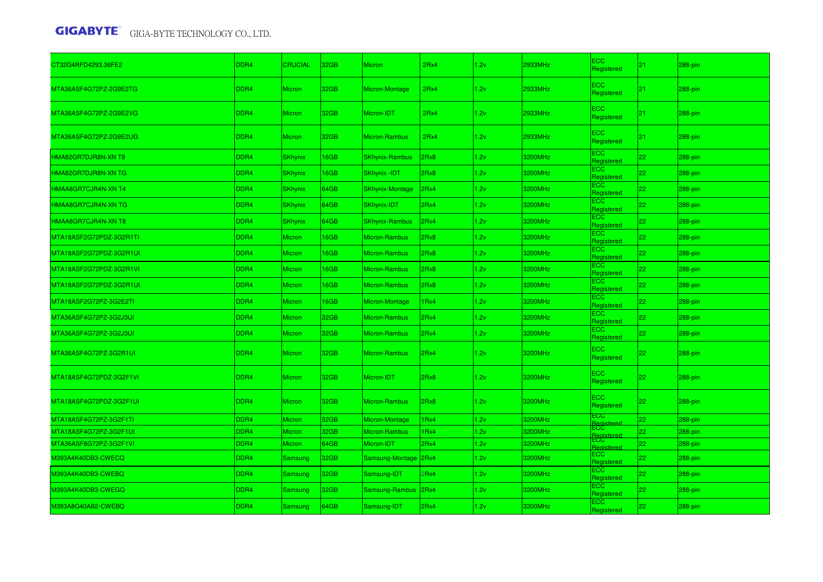| CT32G4RFD4293.36FE2     | DDR4 | <b>CRUCIAL</b> | 32GB | Micron                 | 2Rx4 | 1.2v | 2933MHz | ECC<br>Registered        | 21 | 288-pin    |
|-------------------------|------|----------------|------|------------------------|------|------|---------|--------------------------|----|------------|
| MTA36ASF4G72PZ-2G9E2TG  | DDR4 | <b>Micron</b>  | 32GB | <b>Micron-Montage</b>  | 2Rx4 | 1.2v | 2933MHz | ECC<br>Registered        | 21 | $288$ -pin |
| MTA36ASF4G72PZ-2G9E2VG  | DDR4 | <b>Micron</b>  | 32GB | Micron-IDT             | 2Rx4 | 1.2v | 2933MHz | ECC.<br>Registered       | 21 | $288$ -pin |
| MTA36ASF4G72PZ-2G9E2UG  | DDR4 | <b>Micron</b>  | 32GB | Micron-Rambus          | 2Rx4 | 1.2v | 2933MHz | ECC<br>Registered        | 21 | 288-pin    |
| HMA82GR7DJR8N-XN T8     | DDR4 | <b>SKhynix</b> | 16GB | <b>SKhynix-Rambus</b>  | 2Rx8 | 1.2v | 3200MHz | <b>ECC</b><br>Registered | 22 | 288-pin    |
| HMA82GR7DJR8N-XN TG     | DDR4 | <b>SKhynix</b> | 16GB | <b>SKhynix -IDT</b>    | 2Rx8 | 1.2v | 3200MHz | ECC<br>Registered        | 22 | 288-pin    |
| HMAA8GR7CJR4N-XN T4     | DDR4 | <b>SKhynix</b> | 64GB | <b>SKhynix-Montage</b> | 2Rx4 | 1.2v | 3200MHz | <b>ECC</b><br>Registered | 22 | $288$ -pin |
| HMAA8GR7CJR4N-XN TG     | DDR4 | <b>SKhynix</b> | 64GB | <b>SKhynix-IDT</b>     | 2Rx4 | 1.2v | 3200MHz | ECC.<br>Registered       | 22 | 288-pin    |
| HMAA8GR7CJR4N-XN T8     | DDR4 | <b>SKhynix</b> | 64GB | <b>SKhynix-Rambus</b>  | 2Rx4 | 1.2v | 3200MHz | ECC.<br>Registered       | 22 | 288-pin    |
| MTA18ASF2G72PDZ-3G2R1TI | DDR4 | <b>Micron</b>  | 16GB | Micron-Rambus          | 2Rx8 | 1.2v | 3200MHz | ECC.<br>Registered       | 22 | 288-pin    |
| MTA18ASF2G72PDZ-3G2R1UI | DDR4 | <b>Micron</b>  | 16GB | Micron-Rambus          | 2Rx8 | 1.2v | 3200MHz | <b>ECC</b><br>Registered | 22 | 288-pin    |
| MTA18ASF2G72PDZ-3G2R1VI | DDR4 | <b>Micron</b>  | 16GB | Micron-Rambus          | 2Rx8 | 1.2v | 3200MHz | <b>ECC</b><br>Registered | 22 | $288$ -pin |
| MTA18ASF2G72PDZ-3G2R1UI | DDR4 | <b>Micron</b>  | 16GB | <b>Micron-Rambus</b>   | 2Rx8 | 1.2v | 3200MHz | ECC.<br>Registered       | 22 | 288-pin    |
| MTA18ASF2G72PZ-3G2E2TI  | DDR4 | <b>Micron</b>  | 16GB | Micron-Montage         | 1Rx4 | 1.2v | 3200MHz | ECC.<br>Registered       | 22 | 288-pin    |
| MTA36ASF4G72PZ-3G2J3UI  | DDR4 | <b>Micron</b>  | 32GB | Micron-Rambus          | 2Rx4 | 1.2v | 3200MHz | ECC.<br>Registered       | 22 | 288-pin    |
| VITA36ASF4G72PZ-3G2J3UI | DDR4 | <b>Micron</b>  | 32GB | Micron-Rambus          | 2Rx4 | 1.2v | 3200MHz | ECC.<br>Registered       | 22 | 288-pin    |
| MTA36ASF4G72PZ-3G2R1UI  | DDR4 | <b>Micron</b>  | 32GB | <b>Micron-Rambus</b>   | 2Rx4 | 1.2v | 3200MHz | ECC.<br>Registered       | 22 | 288-pin    |
| MTA18ASF4G72PDZ-3G2F1VI | DDR4 | <b>Micron</b>  | 32GB | Micron-IDT             | 2Rx8 | 1.2v | 3200MHz | <b>ECC</b><br>Registered | 22 | 288-pin    |
| MTA18ASF4G72PDZ-3G2F1UI | DDR4 | <b>Micron</b>  | 32GB | Micron-Rambus          | 2Rx8 | 1.2v | 3200MHz | ECC.<br>Registered       | 22 | 288-pin    |
| MTA18ASF4G72PZ-3G2F1TI  | DDR4 | <b>Micron</b>  | 32GB | Micron-Montage         | 1Rx4 | 1.2v | 3200MHz | ECC<br>Registe<br>ECC    | 22 | 288-pin    |
| MTA18ASF4G72PZ-3G2F1UI  | DDR4 | <b>Micron</b>  | 32GB | Micron-Rambus          | 1Rx4 | 1.2v | 3200MHz | Registere<br>ECC         | 22 | 288-pin    |
| MTA36ASF8G72PZ-3G2F1VI  | DDR4 | <b>Micron</b>  | 64GB | Micron-IDT             | 2Rx4 | 1.2v | 3200MHz | Registere                | 22 | 288-pin    |
| V393A4K40DB3-CWECQ      | DDR4 | Samsung        | 32GB | Samsung-Montage 2Rx4   |      | 1.2v | 3200MHz | ECC.<br>Registered       | 22 | 288-pin    |
| M393A4K40DB3-CWEBQ      | DDR4 | Samsung        | 32GB | Samsung-IDT            | 2Rx4 | 1.2v | 3200MHz | ECC.<br>Registered       | 22 | 288-pin    |
| M393A4K40DB3-CWEGQ      | DDR4 | Samsung        | 32GB | <b>Samsung-Rambus</b>  | 2Rx4 | 1.2v | 3200MHz | ECC.<br>Registered       | 22 | 288-pin    |
| M393A8G40AB2-CWEBQ      | DDR4 | Samsung        | 64GB | Samsung-IDT            | 2Rx4 | 1.2v | 3200MHz | ECC.<br>Registered       | 22 | 288-pin    |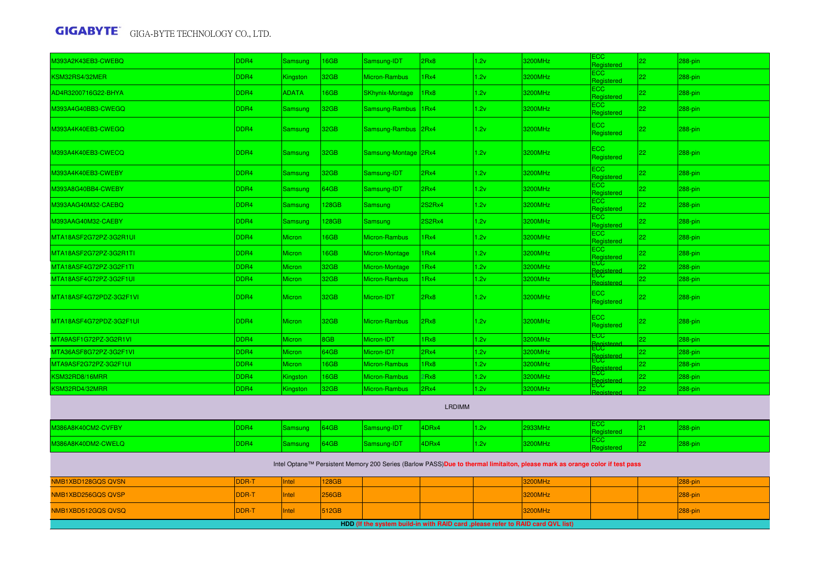| M393A2K43EB3-CWEBQ        | DDR4             | Samsung       | 16GB  | Samsung-IDT                                                                      | 2Rx8             | 1.2v | 3200MHz                                                                                                                     | ECC<br>Registered             | 22 | 288-pin |  |  |  |  |
|---------------------------|------------------|---------------|-------|----------------------------------------------------------------------------------|------------------|------|-----------------------------------------------------------------------------------------------------------------------------|-------------------------------|----|---------|--|--|--|--|
| KSM32RS4/32MER            | DDR4             | Kingston      | 32GB  | Micron-Rambus                                                                    | 1Rx4             | 1.2v | 3200MHz                                                                                                                     | ECC<br>Registered             | 22 | 288-pin |  |  |  |  |
| AD4R3200716G22-BHYA       | DDR4             | <b>ADATA</b>  | 16GB  | <b>SKhynix-Montage</b>                                                           | 1Rx8             | 1.2v | 3200MHz                                                                                                                     | ECC<br>Registered             | 22 | 288-pin |  |  |  |  |
| M393A4G40BB3-CWEGQ        | DDR4             | Samsung       | 32GB  | Samsung-Rambus                                                                   | 1Rx4             | 1.2v | 3200MHz                                                                                                                     | <b>ECC</b><br>Registered      | 22 | 288-pin |  |  |  |  |
| M393A4K40EB3-CWEGQ        | DDR <sub>4</sub> | Samsung       | 32GB  | Samsung-Rambus 2Rx4                                                              |                  | 1.2v | 3200MHz                                                                                                                     | $\equiv$ CC<br>Registered     | 22 | 288-pin |  |  |  |  |
| M393A4K40EB3-CWECQ        | DDR4             | Samsung       | 32GB  | Samsung-Montage 2Rx4                                                             |                  | 1.2v | 3200MHz                                                                                                                     | <b>ECC</b><br>Registered      | 22 | 288-pin |  |  |  |  |
| M393A4K40EB3-CWEBY        | DDR4             | Samsung       | 32GB  | Samsung-IDT                                                                      | 2Rx4             | 1.2v | 3200MHz                                                                                                                     | $\equiv$ CC<br>Registered     | 22 | 288-pin |  |  |  |  |
| M393A8G40BB4-CWEBY        | DDR4             | Samsung       | 64GB  | Samsung-IDT                                                                      | 2Rx4             | 1.2v | 3200MHz                                                                                                                     | EC<br>Registered              | 22 | 288-pin |  |  |  |  |
| M393AAG40M32-CAEBQ        | DDR4             | Samsung       | 128GB | Samsung                                                                          | 2S2Rx4           | 1.2v | 3200MHz                                                                                                                     | $\equiv$ CC<br>Registered     | 22 | 288-pin |  |  |  |  |
| M393AAG40M32-CAEBY        | DDR4             | Samsung       | 128GB | Samsung                                                                          | <b>2S2Rx4</b>    | 1.2v | 3200MHz                                                                                                                     | ECC<br>Registered             | 22 | 288-pin |  |  |  |  |
| MTA18ASF2G72PZ-3G2R1UI    | DDR <sub>4</sub> | Micron        | 16GB  | Micron-Rambus                                                                    | 1Rx4             | 1.2v | 3200MHz                                                                                                                     | EC <sub>2</sub><br>Registered | 22 | 288-pin |  |  |  |  |
| MTA18ASF2G72PZ-3G2R1TI    | DDR4             | Micron        | 16GB  | Micron-Montage                                                                   | 1 <sub>Rx4</sub> | 1.2v | 3200MHz                                                                                                                     | ECC.<br>Registered            | 22 | 288-pin |  |  |  |  |
| MTA18ASF4G72PZ-3G2F1TI    | DDR4             | Micron        | 32GB  | Micron-Montage                                                                   | 1Rx4             | 1.2v | 3200MHz                                                                                                                     | ECC<br>Reaistered             | 22 | 288-pin |  |  |  |  |
| MTA18ASF4G72PZ-3G2F1UI    | DDR <sub>4</sub> | Micron        | 32GB  | Micron-Rambus                                                                    | 1Rx4             | 1.2v | 3200MHz                                                                                                                     | ECC<br><b>Registere</b>       | 22 | 288-pin |  |  |  |  |
| MTA18ASF4G72PDZ-3G2F1VI   | DDR4             | Micron        | 32GB  | Micron-IDT                                                                       | 2Rx8             | 1.2v | 3200MHz                                                                                                                     | <b>ECC</b><br>Registered      | 22 | 288-pin |  |  |  |  |
| MTA18ASF4G72PDZ-3G2F1UI   | DDR <sub>4</sub> | Micron        | 32GB  | Micron-Rambus                                                                    | 2Rx8             | 1.2v | 3200MHz                                                                                                                     | ECC<br>Registered             | 22 | 288-pin |  |  |  |  |
| MTA9ASF1G72PZ-3G2R1VI     | DDR4             | <b>Micron</b> | 8GB   | Micron-IDT                                                                       | 1Rx8             | 1.2v | 3200MHz                                                                                                                     | $_{\rm ^{CCC}}$               | 22 | 288-pin |  |  |  |  |
| MTA36ASF8G72PZ-3G2F1VI    | DDR4             | Micron        | 64GB  | Micron-IDT                                                                       | 2Rx4             | 1.2v | 3200MHz                                                                                                                     | ECC<br>Registerer             | 22 | 288-pin |  |  |  |  |
| MTA9ASF2G72PZ-3G2F1UI     | DDR4             | Micron        | 16GB  | Micron-Rambus                                                                    | 1Rx8             | 1.2v | 3200MHz                                                                                                                     | ECC<br>Regist                 | 22 | 288-pin |  |  |  |  |
| KSM32RD8/16MRR            | DDR4             | Kingston      | 16GB  | Micron-Rambus                                                                    | 2Rx8             | 1.2v | 3200MHz                                                                                                                     | ECC<br>Regist                 | 22 | 288-pin |  |  |  |  |
| KSM32RD4/32MRR            | DDR4             | Kingston      | 32GB  | Micron-Rambus                                                                    | 2Rx4             | 1.2v | 3200MHz                                                                                                                     | =CC.                          | 22 | 288-pin |  |  |  |  |
| Register<br><b>LRDIMM</b> |                  |               |       |                                                                                  |                  |      |                                                                                                                             |                               |    |         |  |  |  |  |
| M386A8K40CM2-CVFBY        | DDR4             | Samsung       | 64GB  | Samsung-IDT                                                                      | 4DRx4            | 1.2v | 2933MHz                                                                                                                     | ECC.<br>Registered            | 21 | 288-pin |  |  |  |  |
| M386A8K40DM2-CWELQ        | DDR4             | Samsung       | 64GB  | Samsung-IDT                                                                      | 4DRx4            | 1.2v | 3200MHz                                                                                                                     | ECC.<br>Registered            | 22 | 288-pin |  |  |  |  |
|                           |                  |               |       |                                                                                  |                  |      | Intel Optane™ Persistent Memory 200 Series (Barlow PASS)Due to thermal limitaiton, please mark as orange color if test pass |                               |    |         |  |  |  |  |
| NMB1XBD128GQS QVSN        | DDR-T            | Intel         | 128GB |                                                                                  |                  |      | <b>3200MHz</b>                                                                                                              |                               |    | 288-pin |  |  |  |  |
| NMB1XBD256GQS QVSP        | <b>DDR-T</b>     | Intel         | 256GB |                                                                                  |                  |      | 3200MHz                                                                                                                     |                               |    | 288-pin |  |  |  |  |
| NMB1XBD512GQS QVSQ        | DDR-T            | Intel         | 512GB |                                                                                  |                  |      | 3200MHz                                                                                                                     |                               |    | 288-pin |  |  |  |  |
|                           |                  |               |       | HDD (If the system build-in with RAID card , please refer to RAID card QVL list) |                  |      |                                                                                                                             |                               |    |         |  |  |  |  |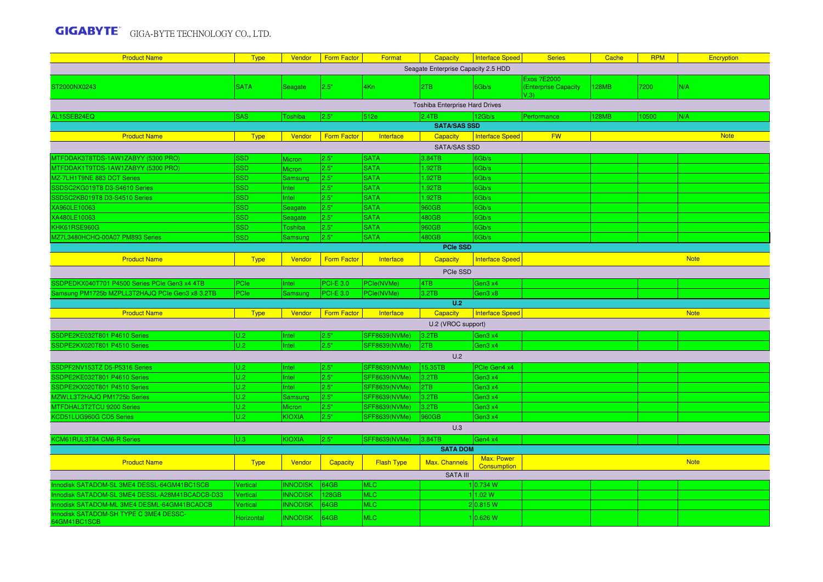| <b>Product Name</b>                                    | <b>Type</b> | Vendor          | <b>Form Factor</b> | Format               | Capacity                            | Interface Speed                  | <b>Series</b>                                      | Cache        | <b>RPM</b> | Encryption  |  |  |  |  |
|--------------------------------------------------------|-------------|-----------------|--------------------|----------------------|-------------------------------------|----------------------------------|----------------------------------------------------|--------------|------------|-------------|--|--|--|--|
|                                                        |             |                 |                    |                      | Seagate Enterprise Capacity 2.5 HDD |                                  |                                                    |              |            |             |  |  |  |  |
| ST2000NX0243                                           | <b>SATA</b> | <b>Seagate</b>  | 2.5"               | 4Kn                  | 2TB                                 | 6Gb/s                            | <b>Exos 7E2000</b><br>(Enterprise Capacity<br>V.3V | 128MB        | 7200       | N/A         |  |  |  |  |
|                                                        |             |                 |                    |                      | Toshiba Enterprise Hard Drives      |                                  |                                                    |              |            |             |  |  |  |  |
| AL15SEB24EQ                                            | <b>SAS</b>  | <b>Toshiba</b>  | 2.5"               | 512e                 | 2.4TB                               | 12Gb/s                           | Performance                                        | <b>128MB</b> | 0500       | N/A         |  |  |  |  |
|                                                        |             |                 |                    |                      | <b>SATA/SAS SSD</b>                 |                                  |                                                    |              |            |             |  |  |  |  |
| <b>Product Name</b>                                    | <b>Type</b> | Vendor          | <b>Form Factor</b> | Interface            | <b>Capacity</b>                     | <b>Interface Speed</b>           | <b>FW</b>                                          |              |            | <b>Note</b> |  |  |  |  |
|                                                        |             |                 |                    |                      | <b>SATA/SAS SSD</b>                 |                                  |                                                    |              |            |             |  |  |  |  |
| MTFDDAK3T8TDS-1AW1ZABYY (5300 PRO)                     | <b>SSD</b>  | <b>Micron</b>   | 2.5"               | <b>SATA</b>          | 3.84TB                              | 6Gb/s                            |                                                    |              |            |             |  |  |  |  |
| MTFDDAK1T9TDS-1AW1ZABYY (5300 PRO)                     | <b>SSD</b>  | Micron          | 2.5"               | <b>SATA</b>          | 1.92TB                              | 6Gb/s                            |                                                    |              |            |             |  |  |  |  |
| MZ-7LH1T9NE 883 DCT Series                             | SSD         | Samsung         | 2.5"               | <b>SATA</b>          | 1.92TB                              | 6Gb/s                            |                                                    |              |            |             |  |  |  |  |
| SSDSC2KG019T8 D3-S4610 Series                          | SSD         | Intel           | 2.5"               | <b>SATA</b>          | 1.92TB                              | 6Gb/s                            |                                                    |              |            |             |  |  |  |  |
| SSDSC2KB019T8 D3-S4510 Series                          | <b>SSD</b>  | Intel           | 2.5"               | <b>SATA</b>          | 1.92TB                              | 6Gb/s                            |                                                    |              |            |             |  |  |  |  |
| XA960LE10063                                           | SSD         | Seagate         | 2.5"               | <b>SATA</b>          | 960GB                               | 6Gb/s                            |                                                    |              |            |             |  |  |  |  |
| XA480LE10063                                           | <b>SSD</b>  | Seagate         | 2.5"               | <b>SATA</b>          | 480GB                               | 6Gb/s                            |                                                    |              |            |             |  |  |  |  |
| KHK61RSE960G                                           | SSD         | Toshiba         | 2.5"               | <b>SATA</b>          | 960GB                               | 6Gb/s                            |                                                    |              |            |             |  |  |  |  |
| MZ7L3480HCHQ-00A07 PM893 Series                        | <b>SSD</b>  | Samsung         | 2.5"               | <b>SATA</b>          | 480GB                               | 6Gb/s                            |                                                    |              |            |             |  |  |  |  |
| <b>PCIe SSD</b>                                        |             |                 |                    |                      |                                     |                                  |                                                    |              |            |             |  |  |  |  |
| <b>Product Name</b>                                    | <b>Type</b> | Vendor          | <b>Form Factor</b> | Interface            | <b>Capacity</b>                     | <b>Interface Speed</b>           |                                                    |              |            | <b>Note</b> |  |  |  |  |
| PCIe SSD                                               |             |                 |                    |                      |                                     |                                  |                                                    |              |            |             |  |  |  |  |
| SSDPEDKX040T701 P4500 Series PCIe Gen3 x4 4TB          | PCle        | Intel           | <b>PCI-E 3.0</b>   | PCIe(NVMe)           | 4TB                                 | Gen3 x4                          |                                                    |              |            |             |  |  |  |  |
| Samsung PM1725b MZPLL3T2HAJQ PCIe Gen3 x8 3.2TB        | PCle        | Samsuno         | <b>PCI-E 3.0</b>   | PCIe(NVMe)           | 3.2TB                               | Gen3 x8                          |                                                    |              |            |             |  |  |  |  |
|                                                        |             |                 |                    |                      | U.2                                 |                                  |                                                    |              |            |             |  |  |  |  |
| <b>Product Name</b>                                    | <b>Type</b> | Vendor          | <b>Form Factor</b> | Interface            | Capacity                            | Interface Speed                  |                                                    |              |            | <b>Note</b> |  |  |  |  |
|                                                        |             |                 |                    |                      | U.2 (VROC support)                  |                                  |                                                    |              |            |             |  |  |  |  |
| SSDPE2KE032T801 P4610 Series                           | U.2         | Intel           | 2.5"               | SFF8639(NVMe)        | 3.2TB                               | Gen3 x4                          |                                                    |              |            |             |  |  |  |  |
| SSDPE2KX020T801 P4510 Series                           | U.2         | Intel           | 2.5"               | <b>SFF8639(NVMe)</b> | 2TB                                 | Gen3 x4                          |                                                    |              |            |             |  |  |  |  |
|                                                        |             |                 |                    |                      | U.2                                 |                                  |                                                    |              |            |             |  |  |  |  |
| SSDPF2NV153TZ D5-P5316 Series                          | U.2         | Intel           | 2.5"               | SFF8639(NVMe)        | 15.35TB                             | PCIe Gen4 x4                     |                                                    |              |            |             |  |  |  |  |
| SSDPE2KE032T801 P4610 Series                           | U.2         | <b>Intel</b>    | 2.5"               | <b>SFF8639(NVMe)</b> | 3.2TB                               | Gen3 x4                          |                                                    |              |            |             |  |  |  |  |
| SSDPE2KX020T801 P4510 Series                           | U.2         | <b>Intel</b>    | 2.5"               | <b>SFF8639(NVMe)</b> | 2TB                                 | Gen3 x4                          |                                                    |              |            |             |  |  |  |  |
| MZWLL3T2HAJQ PM1725b Series                            | U.2         | Samsung         | 2.5"               | <b>SFF8639(NVMe)</b> | 3.2TB                               | Gen3 x4                          |                                                    |              |            |             |  |  |  |  |
| MTFDHAL3T2TCU 9200 Series                              | U.2         | Micron          | 2.5"               | <b>SFF8639(NVMe)</b> | 3.2TB                               | Gen3 x4                          |                                                    |              |            |             |  |  |  |  |
| KCD51LUG960G CD5 Series                                | U.2         | <b>KIOXIA</b>   | 2.5"               | SFF8639(NVMe)        | 960GB                               | Gen3 x4                          |                                                    |              |            |             |  |  |  |  |
|                                                        |             |                 |                    |                      | U.3                                 |                                  |                                                    |              |            |             |  |  |  |  |
| KCM61RUL3T84 CM6-R Series                              | U.3         | KIOXIA          | 2.5"               | <b>SFF8639(NVMe)</b> | 3.84TB                              | Gen4 x4                          |                                                    |              |            |             |  |  |  |  |
|                                                        |             |                 |                    |                      | <b>SATA DOM</b>                     |                                  |                                                    |              |            |             |  |  |  |  |
| <b>Product Name</b>                                    | <b>Type</b> | Vendor          | Capacity           | <b>Flash Type</b>    | Max. Channels                       | Max. Power<br><b>Consumption</b> |                                                    |              |            | <b>Note</b> |  |  |  |  |
|                                                        |             |                 |                    |                      | <b>SATA III</b>                     |                                  |                                                    |              |            |             |  |  |  |  |
| Innodisk SATADOM-SL 3ME4 DESSL-64GM41BC1SCB            | Vertical    | <b>INNODISK</b> | 34GB               | <b>MLC</b>           |                                     | 10.734 W                         |                                                    |              |            |             |  |  |  |  |
| Innodisk SATADOM-SL 3ME4 DESSL-A28M41BCADCB-D33        | Vertical    | <b>INNODISK</b> | 128GB              | <b>MLC</b>           |                                     | 1 1.02 W                         |                                                    |              |            |             |  |  |  |  |
| Innodisk SATADOM-ML 3ME4 DESML-64GM41BCADCB            | Vertical    | <b>INNODISK</b> | 64GB               | <b>MLC</b>           |                                     | 2 0.815 W                        |                                                    |              |            |             |  |  |  |  |
| Innodisk SATADOM-SH TYPE C 3ME4 DESSC-<br>64GM41BC1SCB | Horizontal  | <b>INNODISK</b> | 64GB               | <b>MLC</b>           |                                     | 10.626 W                         |                                                    |              |            |             |  |  |  |  |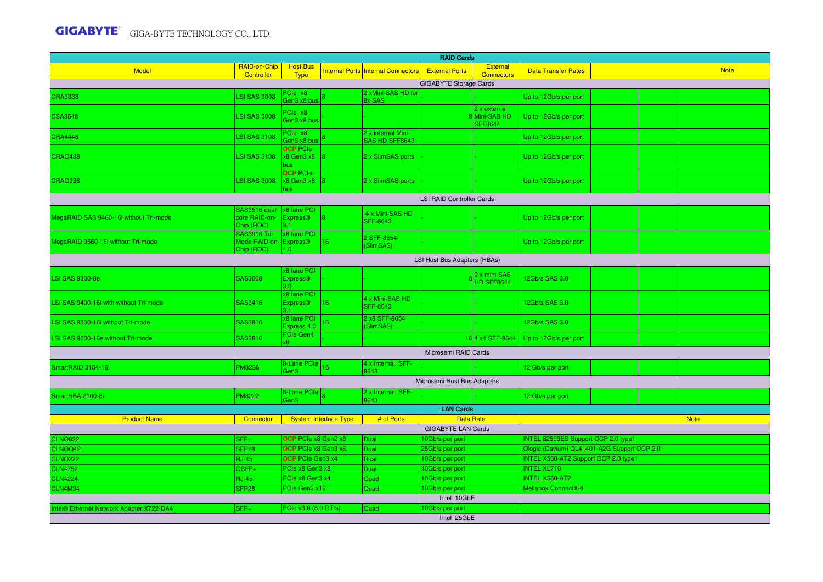| <b>RAID Cards</b>                                         |                                                            |                                                    |                              |                                           |                                  |                                                |                                             |  |  |             |  |  |  |
|-----------------------------------------------------------|------------------------------------------------------------|----------------------------------------------------|------------------------------|-------------------------------------------|----------------------------------|------------------------------------------------|---------------------------------------------|--|--|-------------|--|--|--|
| <b>Model</b>                                              | RAID-on-Chip<br>Controller                                 | <b>Host Bus</b><br><b>Type</b>                     |                              | <b>Internal Ports Internal Connectors</b> | <b>External Ports</b>            | <b>External</b><br><b>Connectors</b>           | <b>Data Transfer Rates</b>                  |  |  | <b>Note</b> |  |  |  |
|                                                           |                                                            |                                                    |                              |                                           | <b>GIGABYTE Storage Cards</b>    |                                                |                                             |  |  |             |  |  |  |
| <b>CRA3338</b>                                            | <b>SI SAS 3008</b>                                         | PCIe-x8<br>Gen3 x8 bus                             |                              | 2 xMini-SAS HD for<br>8x SAS              |                                  |                                                | Jp to 12Gb/s per port                       |  |  |             |  |  |  |
| <b>CSA3548</b>                                            | <b>LSI SAS 3008</b>                                        | PCIe-x8<br>Gen3 x8 bus                             |                              |                                           |                                  | 2 x external<br>8Mini-SAS HD<br><b>SFF8644</b> | Jp to 12Gb/s per port                       |  |  |             |  |  |  |
| <b>CRA4448</b>                                            | <b>LSI SAS 3108</b>                                        | PCIe-x8<br>Gen3 x8 bus                             |                              | 2 x internal Mini-<br>SAS HD SFF8643      |                                  |                                                | Up to 12Gb/s per port                       |  |  |             |  |  |  |
| <b>CRAO438</b>                                            | <b>LSI SAS 3108</b>                                        | <b>OCP PCIe-</b><br>$x8$ Gen3 $x8$                 |                              | 2 x SlimSAS ports                         |                                  |                                                | Up to 12Gb/s per port                       |  |  |             |  |  |  |
| <b>CRAO338</b>                                            | <b>LSI SAS 3008</b>                                        | <b>OCP PCIe-</b><br>x8 Gen3 x8<br>bus.             | 18                           | 2 x SlimSAS ports                         |                                  |                                                | Up to 12Gb/s per port                       |  |  |             |  |  |  |
|                                                           |                                                            |                                                    |                              |                                           | <b>LSI RAID Controller Cards</b> |                                                |                                             |  |  |             |  |  |  |
| MegaRAID SAS 9460-16i without Tri-mode                    | SAS3516 dual- 1x8 lane PCI<br>core RAID-on-<br>Chip (ROC)  | <b>Express®</b><br>l3.1 -                          |                              | 4 x Mini-SAS HD<br><b>SFF-8643</b>        |                                  |                                                | Up to 12Gb/s per port                       |  |  |             |  |  |  |
| MegaRAID 9560-16i without Tri-mode                        | <b>SAS3916 Tri-</b><br>Mode RAID-on-Express®<br>Chip (ROC) | x8 lane PCI<br>4.0                                 | 16                           | 2 SFF-8654<br>(SlimSAS)                   |                                  |                                                | Up to 12Gb/s per port                       |  |  |             |  |  |  |
|                                                           |                                                            |                                                    |                              |                                           | LSI Host Bus Adapters (HBAs)     |                                                |                                             |  |  |             |  |  |  |
| <b>LSI SAS 9300-8e</b>                                    | <b>SAS3008</b>                                             | x8 lane PCI<br><b>Express®</b><br>3.0 <sub>1</sub> |                              |                                           |                                  | 2 x mini-SAS<br>HD SFF8644                     | 2Gb/s SAS 3.0                               |  |  |             |  |  |  |
| LSI SAS 9400-16i with without Tri-mode                    | SAS3416                                                    | x8 lane PCI<br><b>Express®</b><br>3.1              | 16 <sup>°</sup>              | 4 x Mini-SAS HD<br><b>SFF-8643</b>        |                                  |                                                | 12Gb/s SAS 3.0                              |  |  |             |  |  |  |
| LSI SAS 9500-16i without Tri-mode                         | SAS3816                                                    | x8 lane PCI<br>Express 4.0                         | 16 <sup>1</sup>              | 2 x8 SFF-8654<br>(SlimSAS)                |                                  |                                                | 12Gb/s SAS 3.0                              |  |  |             |  |  |  |
| LSI SAS 9500-16e without Tri-mode                         | SAS3816                                                    | PCIe Gen4                                          |                              |                                           |                                  | 164 x4 SFF-8644                                | Up to 12Gb/s per port                       |  |  |             |  |  |  |
|                                                           |                                                            |                                                    |                              |                                           | Microsemi RAID Cards             |                                                |                                             |  |  |             |  |  |  |
| SmartRAID 3154-16i                                        | <b>PM8236</b>                                              | 8-Lane PCIe<br>Gen3                                | 16                           | 4 x Internal, SFF-<br>8643                |                                  |                                                | 12 Gb/s per port                            |  |  |             |  |  |  |
|                                                           |                                                            |                                                    |                              |                                           | Microsemi Host Bus Adapters      |                                                |                                             |  |  |             |  |  |  |
| SmartHBA 2100-8i                                          | <b>PM8222</b>                                              | 8-Lane PCle<br>Gen3                                |                              | 2 x Internal, SFF-<br>8643                |                                  |                                                | 12 Gb/s per port                            |  |  |             |  |  |  |
|                                                           |                                                            |                                                    |                              |                                           | <b>LAN Cards</b>                 |                                                |                                             |  |  |             |  |  |  |
| <b>Product Name</b>                                       | Connector                                                  |                                                    | <b>System Interface Type</b> | # of Ports                                | <b>Data Rate</b>                 |                                                |                                             |  |  | <b>Note</b> |  |  |  |
|                                                           |                                                            |                                                    |                              |                                           | <b>GIGABYTE LAN Cards</b>        |                                                |                                             |  |  |             |  |  |  |
| <b>CLNO832</b>                                            | $SFP+$                                                     | OCP PCIe x8 Gen2 x8                                |                              | Dual                                      | 10Gb/s per port                  |                                                | INTEL 82599ES Support OCP 2.0 type1         |  |  |             |  |  |  |
| CLNOQ42                                                   | SFP <sub>28</sub>                                          | OCP PCIe x8 Gen3 x8                                |                              | Dual                                      | 25Gb/s per port                  |                                                | Qlogic (Cavium) QL41401-A2G Support OCP 2.0 |  |  |             |  |  |  |
| <b>CLNO222</b>                                            | <b>RJ-45</b>                                               | <b>OCP</b> PCIe Gen3 x4                            |                              | Dual                                      | 10Gb/s per port                  |                                                | <b>INTEL X550-AT2 Support OCP 2.0 type1</b> |  |  |             |  |  |  |
| <b>CLN4752</b>                                            | QSFP+                                                      | PCle x8 Gen3 x8                                    |                              | Dual                                      | 40Gb/s per port                  |                                                | <b>INTEL XL710</b>                          |  |  |             |  |  |  |
| <b>CLN4224</b>                                            | <b>RJ-45</b>                                               | PCle x8 Gen3 x4                                    |                              | Quad                                      | 10Gb/s per port                  |                                                | <b>INTEL X550-AT2</b>                       |  |  |             |  |  |  |
| <b>CLN4M34</b>                                            | SFP <sub>28</sub>                                          | PCle Gen3 x16                                      |                              | Quad                                      | 10Gb/s per port                  |                                                | <b>Mellanox ConnectX-4</b>                  |  |  |             |  |  |  |
|                                                           |                                                            |                                                    |                              |                                           | Intel_10GbE                      |                                                |                                             |  |  |             |  |  |  |
| <b>Itel<sup>®</sup> Ethernet Network Adapter X722-DA4</b> | SFP <sub>+</sub>                                           | PCIe v3.0 (8.0 GT/s)                               |                              | <b>Quad</b>                               | 10Gb/s per port<br>Intel 25GbE   |                                                |                                             |  |  |             |  |  |  |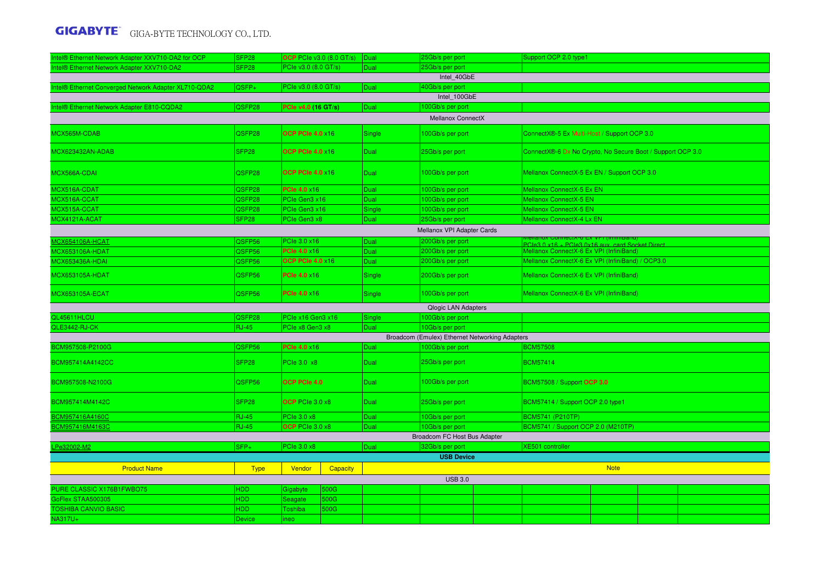| Intel® Ethernet Network Adapter XXV710-DA2 for OCP   | SFP <sub>28</sub>  | <b>OCP</b> PCIe v3.0 (8.0 GT/s) | Dual        | 25Gb/s per port                                | Support OCP 2.0 type1                                          |  |  |  |  |  |  |  |  |  |
|------------------------------------------------------|--------------------|---------------------------------|-------------|------------------------------------------------|----------------------------------------------------------------|--|--|--|--|--|--|--|--|--|
| ntel® Ethernet Network Adapter XXV710-DA2            | SFP <sub>28</sub>  | PCIe v3.0 (8.0 GT/s)            | Dual        | 25Gb/s per port                                |                                                                |  |  |  |  |  |  |  |  |  |
|                                                      |                    |                                 |             | Intel 40GbE                                    |                                                                |  |  |  |  |  |  |  |  |  |
| Intel® Ethernet Converged Network Adapter XL710-QDA2 | QSFP+              | PCle v3.0 (8.0 GT/s)            | Dual        | 40Gb/s per port                                |                                                                |  |  |  |  |  |  |  |  |  |
|                                                      |                    |                                 |             | Intel 100GbE                                   |                                                                |  |  |  |  |  |  |  |  |  |
| Intel® Ethernet Network Adapter E810-CQDA2           | QSFP28             | PCle v4.0 (16 GT/s)             | Dual        | 100Gb/s per port                               |                                                                |  |  |  |  |  |  |  |  |  |
|                                                      |                    |                                 |             | <b>Mellanox ConnectX</b>                       |                                                                |  |  |  |  |  |  |  |  |  |
| MCX565M-CDAB                                         | QSFP28             | <b>OCP PCIe 4.0 x16</b>         | Single      | 100Gb/s per port                               | ConnectX®-5 Ex Multi-Host / Support OCP 3.0                    |  |  |  |  |  |  |  |  |  |
| MCX623432AN-ADAB                                     | SFP <sub>28</sub>  | OCP PCle 4.0 x16                | <b>Dual</b> | 25Gb/s per port                                | ConnectX®-6 Dx No Crypto, No Secure Boot / Support OCP 3.0     |  |  |  |  |  |  |  |  |  |
| MCX566A-CDAI                                         | QSFP28             | <b>OCP PCle 4.0 x16</b>         | <b>Dual</b> | 100Gb/s per port                               | Mellanox ConnectX-5 Ex EN / Support OCP 3.0                    |  |  |  |  |  |  |  |  |  |
| MCX516A-CDAT                                         | QSFP28             | <b>PCle 4.0 x16</b>             | Dual        | 100Gb/s per port                               | Mellanox ConnectX-5 Ex EN                                      |  |  |  |  |  |  |  |  |  |
| MCX516A-CCAT                                         | QSFP28             | PCIe Gen3 x16                   | Dual        | 100Gb/s per port                               | <b>Mellanox ConnectX-5 EN</b>                                  |  |  |  |  |  |  |  |  |  |
| MCX515A-CCAT                                         | QSFP <sub>28</sub> | PCle Gen3 x16                   | Single      | 100Gb/s per port                               | <b>Mellanox ConnectX-5 EN</b>                                  |  |  |  |  |  |  |  |  |  |
| MCX4121A-ACAT                                        | SFP <sub>28</sub>  | PCIe Gen3 x8                    | Dual        | 25Gb/s per port                                | Mellanox ConnectX-4 Lx EN                                      |  |  |  |  |  |  |  |  |  |
| Mellanox VPI Adapter Cards                           |                    |                                 |             |                                                |                                                                |  |  |  |  |  |  |  |  |  |
| <b>ACX654106A-HCAT</b>                               | QSFP56             | PCle 3.0 x16                    | Dual        | 200Gb/s per port                               | CIA-0 EX VPT<br>PCIe3 N v16 + PCIe3 Ny16 aux loard Socket Dire |  |  |  |  |  |  |  |  |  |
| MCX653106A-HDAT                                      | QSFP56             | <b>PCle 4.0 ×16</b>             | Dual        | 200Gb/s per port                               | Mellanox ConnectX-6 Ex VPI (InfiniBand)                        |  |  |  |  |  |  |  |  |  |
| MCX653436A-HDAI                                      | QSFP56             | <b>OCP PCle 4.0 x16</b>         | Dual        | 200Gb/s per port                               | Mellanox ConnectX-6 Ex VPI (InfiniBand) / OCP3.0               |  |  |  |  |  |  |  |  |  |
| <b>MCX653105A-HDAT</b>                               | QSFP56             | <b>PCIe 4.0 ×16</b>             | Single      | 200Gb/s per port                               | Mellanox ConnectX-6 Ex VPI (InfiniBand)                        |  |  |  |  |  |  |  |  |  |
| MCX653105A-ECAT                                      | QSFP56             | <b>PCle 4.0 ×16</b>             | Single      | 100Gb/s per port                               | Mellanox ConnectX-6 Ex VPI (InfiniBand)                        |  |  |  |  |  |  |  |  |  |
|                                                      |                    |                                 |             |                                                |                                                                |  |  |  |  |  |  |  |  |  |
|                                                      |                    |                                 |             | <b>Qlogic LAN Adapters</b>                     |                                                                |  |  |  |  |  |  |  |  |  |
| QL45611HLCU                                          | QSFP28             | PCle x16 Gen3 x16               | Single      | 100Gb/s per port                               |                                                                |  |  |  |  |  |  |  |  |  |
| QLE3442-RJ-CK                                        | <b>RJ-45</b>       | PCle x8 Gen3 x8                 | Dual        | 10Gb/s per port                                |                                                                |  |  |  |  |  |  |  |  |  |
|                                                      |                    |                                 |             | Broadcom (Emulex) Ethernet Networking Adapters |                                                                |  |  |  |  |  |  |  |  |  |
| BCM957508-P2100G                                     | QSFP56             | <b>PCle 4.0 x16</b>             | Dual        | 100Gb/s per port                               | <b>BCM57508</b>                                                |  |  |  |  |  |  |  |  |  |
| BCM957414A4142CC                                     | SFP <sub>28</sub>  | PCle 3.0 x8                     | Dual        | 25Gb/s per port                                | <b>BCM57414</b>                                                |  |  |  |  |  |  |  |  |  |
| BCM957508-N2100G                                     | QSFP56             | <b>OCP PCIe 4.0</b>             | Dual        | 100Gb/s per port                               | BCM57508 / Support OCP 3.0                                     |  |  |  |  |  |  |  |  |  |
| BCM957414M4142C                                      | SFP <sub>28</sub>  | OCP PCIe 3.0 x8                 | <b>Dual</b> | 25Gb/s per port                                | BCM57414 / Support OCP 2.0 type1                               |  |  |  |  |  |  |  |  |  |
| BCM957416A4160C                                      | <b>RJ-45</b>       | <b>PCle 3.0 x8</b>              | Dual        | 10Gb/s per port                                | <b>BCM5741 (P210TP)</b>                                        |  |  |  |  |  |  |  |  |  |
| BCM957416M4163C                                      | <b>RJ-45</b>       | OCP PCIe 3.0 x8                 | Dual        | 10Gb/s per port                                | BCM5741 / Support OCP 2.0 (M210TP)                             |  |  |  |  |  |  |  |  |  |
|                                                      |                    |                                 |             | Broadcom FC Host Bus Adapter                   |                                                                |  |  |  |  |  |  |  |  |  |
| LPe32002-M2                                          | $SFP+$             | PCle 3.0 x8                     | Dual        | 32Gb/s per port                                | <b>XE501</b> controller                                        |  |  |  |  |  |  |  |  |  |
|                                                      |                    |                                 |             | <b>USB Device</b>                              |                                                                |  |  |  |  |  |  |  |  |  |
| <b>Product Name</b>                                  | <b>Type</b>        | Vendor<br>Capacity              |             |                                                | <b>Note</b>                                                    |  |  |  |  |  |  |  |  |  |
|                                                      |                    |                                 |             | <b>USB 3.0</b>                                 |                                                                |  |  |  |  |  |  |  |  |  |
| PURE CLASSIC X176B1FWBO75                            | HDD                | Gigabyte<br>500G                |             |                                                |                                                                |  |  |  |  |  |  |  |  |  |
| GoFlex STAA500305                                    | <b>HDD</b>         | 500G<br>Seagate                 |             |                                                |                                                                |  |  |  |  |  |  |  |  |  |
| <b>TOSHIBA CANVIO BASIC</b><br><b>NA317U+</b>        | HDD                | Toshiba<br>500G                 |             |                                                |                                                                |  |  |  |  |  |  |  |  |  |